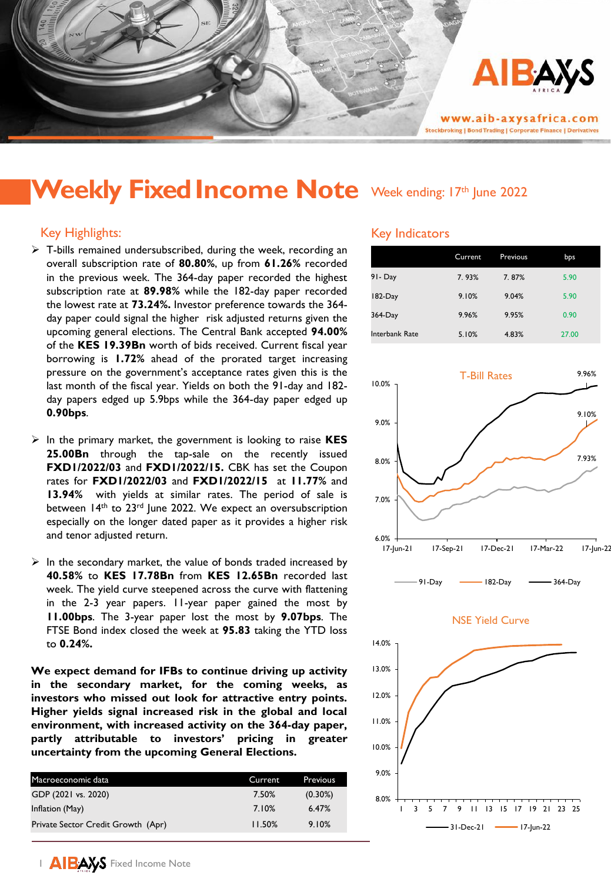

# Weekly Fixed Income Note Week ending: 17th June 2022

# Key Highlights:

- $\triangleright$  T-bills remained undersubscribed, during the week, recording an overall subscription rate of **80.80%**, up from **61.26%** recorded in the previous week. The 364-day paper recorded the highest subscription rate at **89.98%** while the 182-day paper recorded the lowest rate at **73.24%.** Investor preference towards the 364 day paper could signal the higher risk adjusted returns given the upcoming general elections. The Central Bank accepted **94.00%** of the **KES 19.39Bn** worth of bids received. Current fiscal year borrowing is **1.72%** ahead of the prorated target increasing pressure on the government's acceptance rates given this is the last month of the fiscal year. Yields on both the 91-day and 182 day papers edged up 5.9bps while the 364-day paper edged up **0.90bps**.
- ➢ In the primary market, the government is looking to raise **KES 25.00Bn** through the tap-sale on the recently issued **FXD1/2022/03** and **FXD1/2022/15.** CBK has set the Coupon rates for **FXD1/2022/03** and **FXD1/2022/15** at **11.77%** and **13.94%** with yields at similar rates. The period of sale is between 14<sup>th</sup> to 23<sup>rd</sup> June 2022. We expect an oversubscription especially on the longer dated paper as it provides a higher risk and tenor adjusted return.
- $\triangleright$  In the secondary market, the value of bonds traded increased by **40.58%** to **KES 17.78Bn** from **KES 12.65Bn** recorded last week. The yield curve steepened across the curve with flattening in the 2-3 year papers. 11-year paper gained the most by **11.00bps**. The 3-year paper lost the most by **9.07bps**. The FTSE Bond index closed the week at **95.83** taking the YTD loss to **0.24%.**

**We expect demand for IFBs to continue driving up activity in the secondary market, for the coming weeks, as investors who missed out look for attractive entry points. Higher yields signal increased risk in the global and local environment, with increased activity on the 364-day paper, partly attributable to investors' pricing in greater uncertainty from the upcoming General Elections.**

| Macroeconomic data                 | Current | Previous   |
|------------------------------------|---------|------------|
| GDP (2021 vs. 2020)                | 7.50%   | $(0.30\%)$ |
| Inflation (May)                    | 7.10%   | 6.47%      |
| Private Sector Credit Growth (Apr) | 11.50%  | 9.10%      |

## Key Indicators

|                | Current | Previous | bps   |
|----------------|---------|----------|-------|
| 91 - Day       | 7.93%   | 7.87%    | 5.90  |
| $182$ -Day     | 9.10%   | 9.04%    | 5.90  |
| 364-Day        | 9.96%   | 9.95%    | 0.90  |
| Interbank Rate | 5.10%   | 4.83%    | 27.00 |







1 AIBAYS Fixed Income Note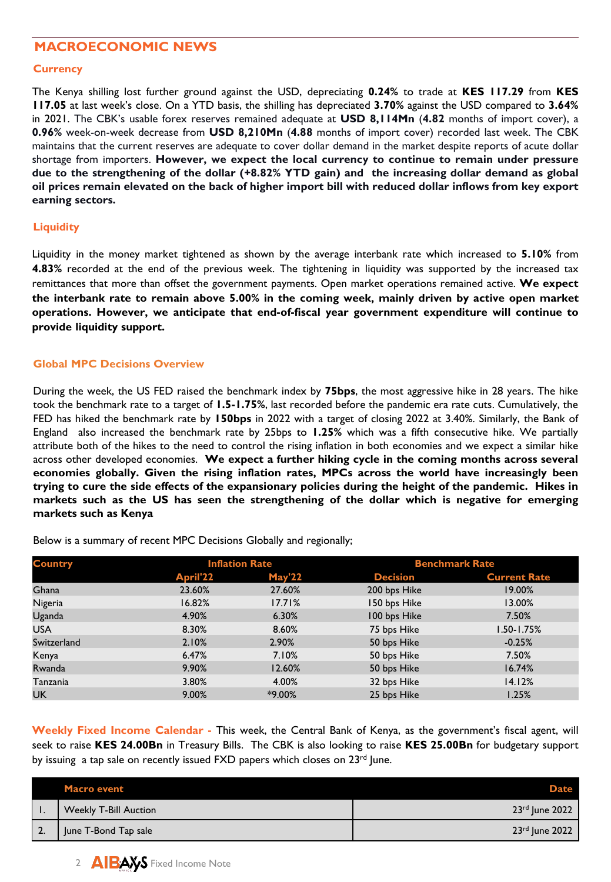# **MACROECONOMIC NEWS**

#### **Currency**

The Kenya shilling lost further ground against the USD, depreciating **0.24%** to trade at **KES 117.29** from **KES 117.05** at last week's close. On a YTD basis, the shilling has depreciated **3.70%** against the USD compared to **3.64%** in 2021. The CBK's usable forex reserves remained adequate at **USD 8,114Mn** (**4.82** months of import cover), a **0.96%** week-on-week decrease from **USD 8,210Mn** (**4.88** months of import cover) recorded last week. The CBK maintains that the current reserves are adequate to cover dollar demand in the market despite reports of acute dollar shortage from importers. **However, we expect the local currency to continue to remain under pressure due to the strengthening of the dollar (+8.82% YTD gain) and the increasing dollar demand as global** oil prices remain elevated on the back of higher import bill with reduced dollar inflows from key export **earning sectors.**

## **Liquidity**

Liquidity in the money market tightened as shown by the average interbank rate which increased to **5.10%** from **4.83%** recorded at the end of the previous week. The tightening in liquidity was supported by the increased tax remittances that more than offset the government payments. Open market operations remained active. **We expect the interbank rate to remain above 5.00% in the coming week, mainly driven by active open market operations. However, we anticipate that end-of-fiscal year government expenditure will continue to provide liquidity support.**

# **Global MPC Decisions Overview**

During the week, the US FED raised the benchmark index by **75bps**, the most aggressive hike in 28 years. The hike took the benchmark rate to a target of **1.5-1.75%**, last recorded before the pandemic era rate cuts. Cumulatively, the FED has hiked the benchmark rate by **150bps** in 2022 with a target of closing 2022 at 3.40%. Similarly, the Bank of England also increased the benchmark rate by 25bps to **1.25%** which was a fifth consecutive hike. We partially attribute both of the hikes to the need to control the rising inflation in both economies and we expect a similar hike across other developed economies. **We expect a further hiking cycle in the coming months across several economies globally. Given the rising inflation rates, MPCs across the world have increasingly been** trying to cure the side effects of the expansionary policies during the height of the pandemic. Hikes in **markets such as the US has seen the strengthening of the dollar which is negative for emerging markets such as Kenya**

| <b>Country</b> |          | <b>Inflation Rate</b> |                 | <b>Benchmark Rate</b> |  |
|----------------|----------|-----------------------|-----------------|-----------------------|--|
|                | April'22 | <b>May'22</b>         | <b>Decision</b> | <b>Current Rate</b>   |  |
| Ghana          | 23.60%   | 27.60%                | 200 bps Hike    | 19.00%                |  |
| Nigeria        | 16.82%   | 17.71%                | 150 bps Hike    | 13.00%                |  |
| Uganda         | 4.90%    | 6.30%                 | 100 bps Hike    | 7.50%                 |  |
| <b>USA</b>     | 8.30%    | 8.60%                 | 75 bps Hike     | $1.50 - 1.75%$        |  |
| Switzerland    | 2.10%    | 2.90%                 | 50 bps Hike     | $-0.25%$              |  |
| Kenya          | 6.47%    | 7.10%                 | 50 bps Hike     | 7.50%                 |  |
| Rwanda         | 9.90%    | 12.60%                | 50 bps Hike     | 16.74%                |  |
| Tanzania       | 3.80%    | 4.00%                 | 32 bps Hike     | 14.12%                |  |
| <b>UK</b>      | 9.00%    | $*9.00\%$             | 25 bps Hike     | 1.25%                 |  |

Below is a summary of recent MPC Decisions Globally and regionally;

**Weekly Fixed Income Calendar -** This week, the Central Bank of Kenya, as the government's fiscal agent, will seek to raise **KES 24.00Bn** in Treasury Bills. The CBK is also looking to raise **KES 25.00Bn** for budgetary support by issuing a tap sale on recently issued FXD papers which closes on 23<sup>rd</sup> June.

|    | <b>Macro event</b>           | <b>Date</b>      |
|----|------------------------------|------------------|
|    | <b>Weekly T-Bill Auction</b> | 23rd June 2022   |
| 2. | June T-Bond Tap sale         | $23rd$ June 2022 |

2 AIBAYS Fixed Income Note